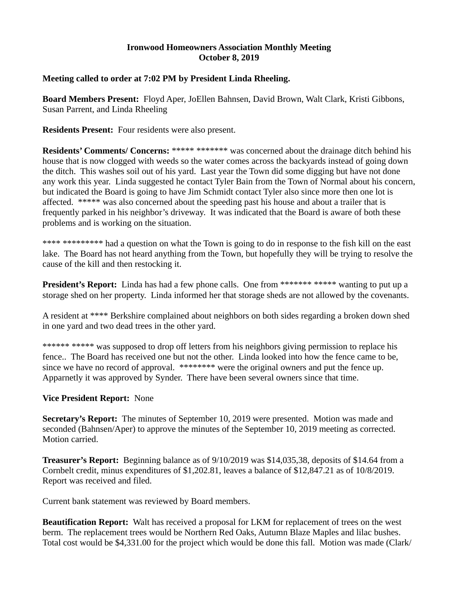## **Ironwood Homeowners Association Monthly Meeting October 8, 2019**

## **Meeting called to order at 7:02 PM by President Linda Rheeling.**

**Board Members Present:** Floyd Aper, JoEllen Bahnsen, David Brown, Walt Clark, Kristi Gibbons, Susan Parrent, and Linda Rheeling

**Residents Present:** Four residents were also present.

**Residents' Comments/ Concerns:** \*\*\*\*\* \*\*\*\*\*\*\* was concerned about the drainage ditch behind his house that is now clogged with weeds so the water comes across the backyards instead of going down the ditch. This washes soil out of his yard. Last year the Town did some digging but have not done any work this year. Linda suggested he contact Tyler Bain from the Town of Normal about his concern, but indicated the Board is going to have Jim Schmidt contact Tyler also since more then one lot is affected. \*\*\*\*\* was also concerned about the speeding past his house and about a trailer that is frequently parked in his neighbor's driveway. It was indicated that the Board is aware of both these problems and is working on the situation.

\*\*\*\* \*\*\*\*\*\*\*\*\* had a question on what the Town is going to do in response to the fish kill on the east lake. The Board has not heard anything from the Town, but hopefully they will be trying to resolve the cause of the kill and then restocking it.

**President's Report:** Linda has had a few phone calls. One from \*\*\*\*\*\*\* \*\*\*\*\* wanting to put up a storage shed on her property. Linda informed her that storage sheds are not allowed by the covenants.

A resident at \*\*\*\* Berkshire complained about neighbors on both sides regarding a broken down shed in one yard and two dead trees in the other yard.

\*\*\*\*\*\* \*\*\*\*\* was supposed to drop off letters from his neighbors giving permission to replace his fence.. The Board has received one but not the other. Linda looked into how the fence came to be, since we have no record of approval. \*\*\*\*\*\*\*\* were the original owners and put the fence up. Apparnetly it was approved by Synder. There have been several owners since that time.

# **Vice President Report:** None

**Secretary's Report:** The minutes of September 10, 2019 were presented. Motion was made and seconded (Bahnsen/Aper) to approve the minutes of the September 10, 2019 meeting as corrected. Motion carried.

**Treasurer's Report:** Beginning balance as of 9/10/2019 was \$14,035,38, deposits of \$14.64 from a Cornbelt credit, minus expenditures of \$1,202.81, leaves a balance of \$12,847.21 as of 10/8/2019. Report was received and filed.

Current bank statement was reviewed by Board members.

**Beautification Report:** Walt has received a proposal for LKM for replacement of trees on the west berm. The replacement trees would be Northern Red Oaks, Autumn Blaze Maples and lilac bushes. Total cost would be \$4,331.00 for the project which would be done this fall. Motion was made (Clark/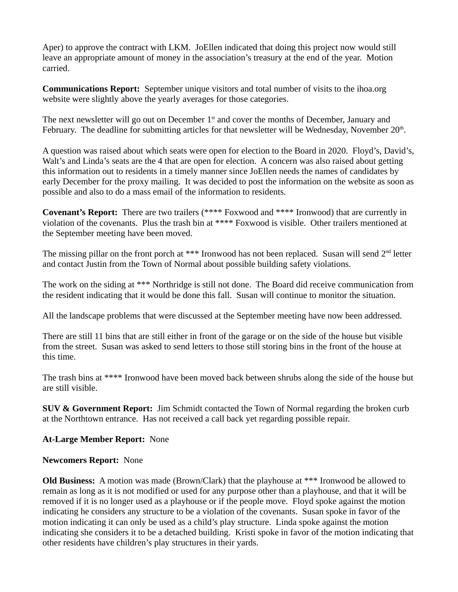Aper) to approve the contract with LKM. JoEllen indicated that doing this project now would still leave an appropriate amount of money in the association's treasury at the end of the year. Motion carried.

**Communications Report:** September unique visitors and total number of visits to the ihoa.org website were slightly above the yearly averages for those categories.

The next newsletter will go out on December  $1<sup>st</sup>$  and cover the months of December, January and February. The deadline for submitting articles for that newsletter will be Wednesday, November  $20<sup>th</sup>$ .

A question was raised about which seats were open for election to the Board in 2020. Floyd's, David's, Walt's and Linda's seats are the 4 that are open for election. A concern was also raised about getting this information out to residents in a timely manner since JoEllen needs the names of candidates by early December for the proxy mailing. It was decided to post the information on the website as soon as possible and also to do a mass email of the information to residents.

**Covenant's Report:** There are two trailers (\*\*\*\* Foxwood and \*\*\*\* Ironwood) that are currently in violation of the covenants. Plus the trash bin at \*\*\*\* Foxwood is visible. Other trailers mentioned at the September meeting have been moved.

The missing pillar on the front porch at \*\*\* Ironwood has not been replaced. Susan will send  $2<sup>nd</sup>$  letter and contact Justin from the Town of Normal about possible building safety violations.

The work on the siding at \*\*\* Northridge is still not done. The Board did receive communication from the resident indicating that it would be done this fall. Susan will continue to monitor the situation.

All the landscape problems that were discussed at the September meeting have now been addressed.

There are still 11 bins that are still either in front of the garage or on the side of the house but visible from the street. Susan was asked to send letters to those still storing bins in the front of the house at this time.

The trash bins at \*\*\*\* Ironwood have been moved back between shrubs along the side of the house but are still visible.

**SUV & Government Report:** Jim Schmidt contacted the Town of Normal regarding the broken curb at the Northtown entrance. Has not received a call back yet regarding possible repair.

# **At-Large Member Report:** None

#### **Newcomers Report:** None

**Old Business:** A motion was made (Brown/Clark) that the playhouse at \*\*\* Ironwood be allowed to remain as long as it is not modified or used for any purpose other than a playhouse, and that it will be removed if it is no longer used as a playhouse or if the people move. Floyd spoke against the motion indicating he considers any structure to be a violation of the covenants. Susan spoke in favor of the motion indicating it can only be used as a child's play structure. Linda spoke against the motion indicating she considers it to be a detached building. Kristi spoke in favor of the motion indicating that other residents have children's play structures in their yards.